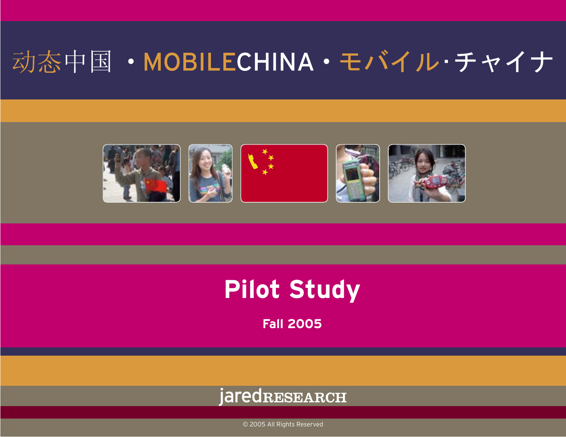# 动态中国·MOBILECHINA·モバイル·チャイナ



### **Pilot Study**

**Fall 2005**

### jaredRESEARCH

© 2005 All Rights Reserved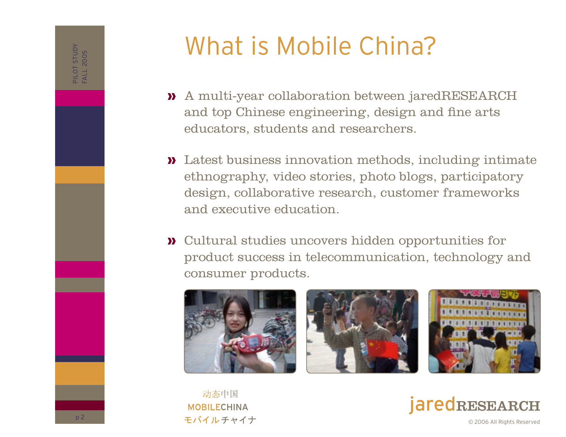## What is Mobile China?

- A multi-year collaboration between jaredRESEARCH » and top Chinese engineering, design and fine arts educators, students and researchers.
- Latest business innovation methods, including intimate » ethnography, video stories, photo blogs, participatory design, collaborative research, customer frameworks and executive education.
- Cultural studies uncovers hidden opportunities for » product success in telecommunication, technology and consumer products.







动态中国 **MOBILECHINA** モバイルチャイナ

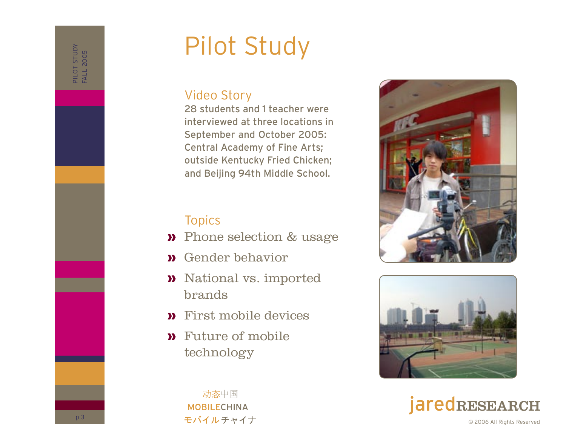# Pilot Study

#### Video Story

28 students and 1 teacher were interviewed at three locations in September and October 2005: Central Academy of Fine Arts; outside Kentucky Fried Chicken; and Beijing 94th Middle School.

#### Topics

- **»** Phone selection & usage
- Gender behavior »
- **»** National vs. imported brands
- First mobile devices »
- Future of mobile » technology







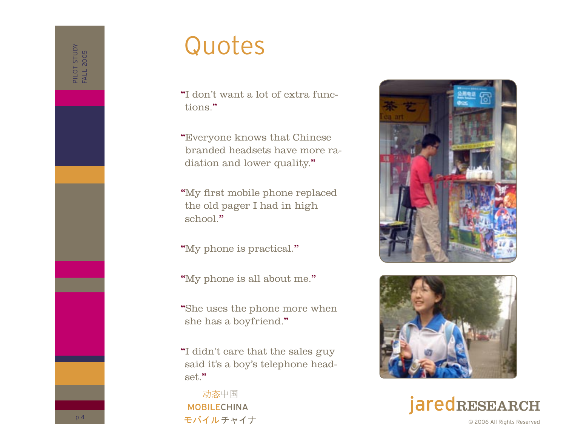### Quotes

"I don't want a lot of extra functions."

"Everyone knows that Chinese branded headsets have more radiation and lower quality."

"My first mobile phone replaced the old pager I had in high school."

"My phone is practical."

"My phone is all about me."

"She uses the phone more when she has a boyfriend."

"I didn't care that the sales guy said it's a boy's telephone headset."

动态中国 **MOBILECHINA** モバイルチャイナ





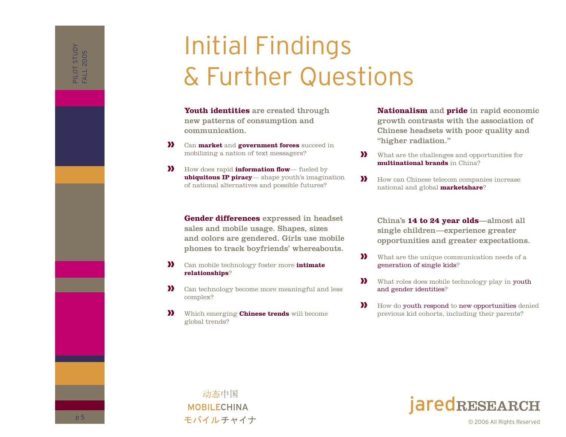## Initial Findings & Further Questions

**Youth identities** are created through new patterns of consumption and communication.

- Can **market** and **government forces** succeed in mobilizing a nation of text messagers? »
- How does rapid **information flow** fueled by **ubiquitous IP piracy**— shape youth's imagination of national alternatives and possible futures? »

**Gender differences** expressed in headset sales and mobile usage. Shapes, sizes and colors are gendered. Girls use mobile phones to track boyfriends' whereabouts.

- Can mobile technology foster more **intimate relationships**? »
- Can technology become more meaningful and less complex? »
- Which emerging **Chinese trends** will become global trends? »

**Nationalism** and **pride** in rapid economic growth contrasts with the association of Chinese headsets with poor quality and "higher radiation."

- What are the challenges and opportunities for **multinational brands** in China? »
- How can Chinese telecom companies increase national and global **marketshare**? »

China's **14 to 24 year olds**—almost all single children— experience greater opportunities and greater expectations.

- What are the unique communication needs of a generation of single kids? »
- What roles does mobile technology play in youth and gender identities? »
- How do youth respond to new opportunities denied previous kid cohorts, including their parents? »





© 2006 All Rights Reserved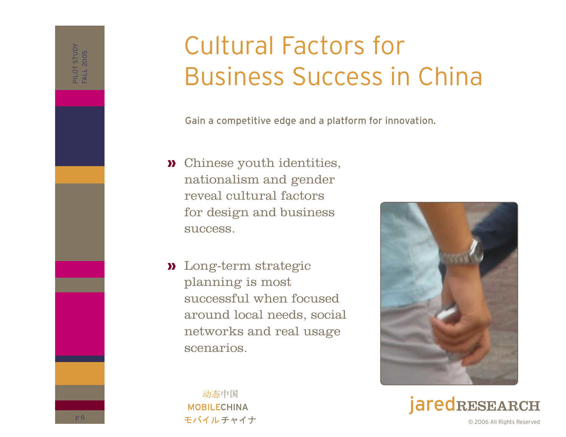# Cultural Factors for Business Success in China

Gain a competitive edge and a platform for innovation.

- Chinese youth identities, » nationalism and gender reveal cultural factors for design and business success.
- Long-term strategic » planning is most successful when focused around local needs, social networks and real usage scenarios.



RESEARCH © 2006 All Rights Reserved

动态中国 **MOBILECHINA** モバイルチャイナ